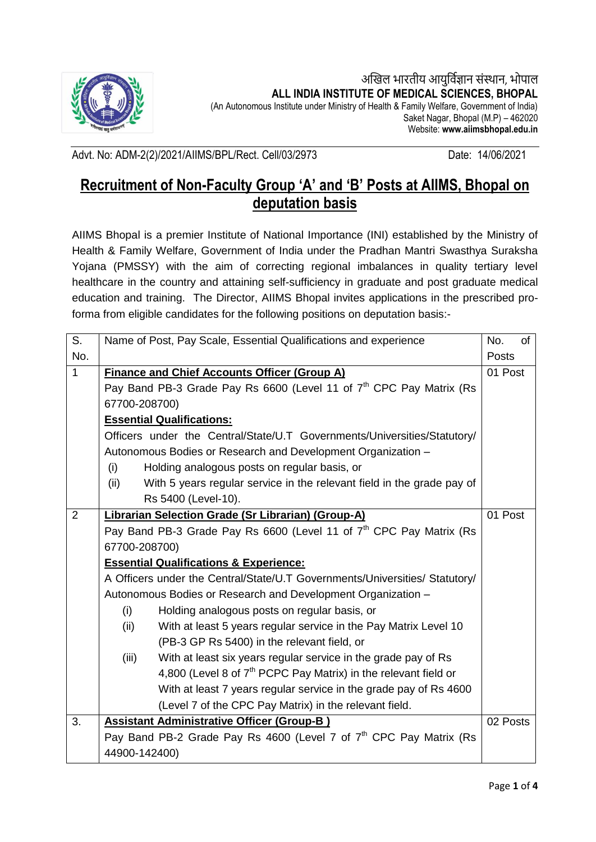

अखिल भारतीय आयुर्विज्ञान संस्थान, भोपाल **ALL INDIA INSTITUTE OF MEDICAL SCIENCES, BHOPAL**

(An Autonomous Institute under Ministry of Health & Family Welfare, Government of India) Saket Nagar, Bhopal (M.P) – 462020 Website: **www.aiimsbhopal.edu.in**

Advt. No: ADM-2(2)/2021/AIIMS/BPL/Rect. Cell/03/2973 Date: 14/06/2021

## **Recruitment of Non-Faculty Group 'A' and 'B' Posts at AIIMS, Bhopal on deputation basis**

AIIMS Bhopal is a premier Institute of National Importance (INI) established by the Ministry of Health & Family Welfare, Government of India under the Pradhan Mantri Swasthya Suraksha Yojana (PMSSY) with the aim of correcting regional imbalances in quality tertiary level healthcare in the country and attaining self-sufficiency in graduate and post graduate medical education and training. The Director, AIIMS Bhopal invites applications in the prescribed proforma from eligible candidates for the following positions on deputation basis:-

| $\overline{\mathsf{S}}$ . | Name of Post, Pay Scale, Essential Qualifications and experience                | No.<br>0f |
|---------------------------|---------------------------------------------------------------------------------|-----------|
| No.                       |                                                                                 | Posts     |
| $\mathbf{1}$              | <b>Finance and Chief Accounts Officer (Group A)</b>                             | 01 Post   |
|                           | Pay Band PB-3 Grade Pay Rs 6600 (Level 11 of 7 <sup>th</sup> CPC Pay Matrix (Rs |           |
|                           | 67700-208700)                                                                   |           |
|                           | <b>Essential Qualifications:</b>                                                |           |
|                           | Officers under the Central/State/U.T Governments/Universities/Statutory/        |           |
|                           | Autonomous Bodies or Research and Development Organization -                    |           |
|                           | Holding analogous posts on regular basis, or<br>(i)                             |           |
|                           | With 5 years regular service in the relevant field in the grade pay of<br>(ii)  |           |
|                           | Rs 5400 (Level-10).                                                             |           |
| 2                         | <b>Librarian Selection Grade (Sr Librarian) (Group-A)</b>                       | 01 Post   |
|                           | Pay Band PB-3 Grade Pay Rs 6600 (Level 11 of 7 <sup>th</sup> CPC Pay Matrix (Rs |           |
|                           | 67700-208700)                                                                   |           |
|                           | <b>Essential Qualifications &amp; Experience:</b>                               |           |
|                           | A Officers under the Central/State/U.T Governments/Universities/ Statutory/     |           |
|                           | Autonomous Bodies or Research and Development Organization -                    |           |
|                           | (i)<br>Holding analogous posts on regular basis, or                             |           |
|                           | With at least 5 years regular service in the Pay Matrix Level 10<br>(ii)        |           |
|                           | (PB-3 GP Rs 5400) in the relevant field, or                                     |           |
|                           | With at least six years regular service in the grade pay of Rs<br>(iii)         |           |
|                           | 4,800 (Level 8 of 7 <sup>th</sup> PCPC Pay Matrix) in the relevant field or     |           |
|                           | With at least 7 years regular service in the grade pay of Rs 4600               |           |
|                           | (Level 7 of the CPC Pay Matrix) in the relevant field.                          |           |
| 3.                        | <b>Assistant Administrative Officer (Group-B)</b>                               | 02 Posts  |
|                           | Pay Band PB-2 Grade Pay Rs 4600 (Level 7 of 7 <sup>th</sup> CPC Pay Matrix (Rs  |           |
|                           | 44900-142400)                                                                   |           |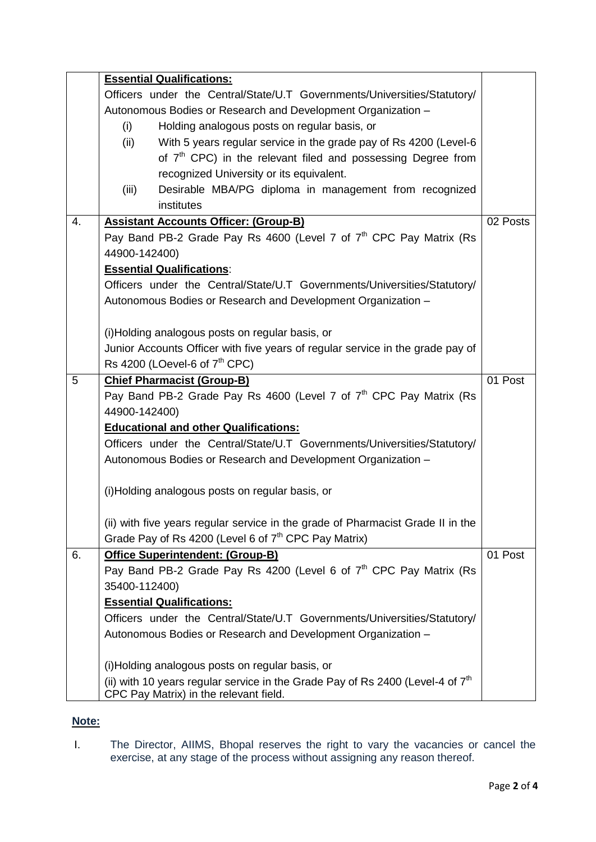|    | <b>Essential Qualifications:</b>                                                 |          |
|----|----------------------------------------------------------------------------------|----------|
|    | Officers under the Central/State/U.T Governments/Universities/Statutory/         |          |
|    | Autonomous Bodies or Research and Development Organization -                     |          |
|    | Holding analogous posts on regular basis, or<br>(i)                              |          |
|    | With 5 years regular service in the grade pay of Rs 4200 (Level-6)<br>(ii)       |          |
|    | of 7 <sup>th</sup> CPC) in the relevant filed and possessing Degree from         |          |
|    | recognized University or its equivalent.                                         |          |
|    | Desirable MBA/PG diploma in management from recognized<br>(iii)                  |          |
|    | institutes                                                                       |          |
| 4. | <b>Assistant Accounts Officer: (Group-B)</b>                                     | 02 Posts |
|    | Pay Band PB-2 Grade Pay Rs 4600 (Level 7 of $7th$ CPC Pay Matrix (Rs             |          |
|    | 44900-142400)                                                                    |          |
|    | <b>Essential Qualifications:</b>                                                 |          |
|    | Officers under the Central/State/U.T Governments/Universities/Statutory/         |          |
|    | Autonomous Bodies or Research and Development Organization -                     |          |
|    |                                                                                  |          |
|    | (i)Holding analogous posts on regular basis, or                                  |          |
|    | Junior Accounts Officer with five years of regular service in the grade pay of   |          |
|    | Rs 4200 (LOevel-6 of $7th$ CPC)                                                  |          |
| 5  | <b>Chief Pharmacist (Group-B)</b>                                                | 01 Post  |
|    | Pay Band PB-2 Grade Pay Rs 4600 (Level 7 of $7th$ CPC Pay Matrix (Rs             |          |
|    | 44900-142400)                                                                    |          |
|    | <b>Educational and other Qualifications:</b>                                     |          |
|    | Officers under the Central/State/U.T Governments/Universities/Statutory/         |          |
|    | Autonomous Bodies or Research and Development Organization -                     |          |
|    |                                                                                  |          |
|    | (i) Holding analogous posts on regular basis, or                                 |          |
|    |                                                                                  |          |
|    | (ii) with five years regular service in the grade of Pharmacist Grade II in the  |          |
|    | Grade Pay of Rs 4200 (Level 6 of $7th$ CPC Pay Matrix)                           |          |
| 6. | Office Superintendent: (Group-B)                                                 | 01 Post  |
|    | Pay Band PB-2 Grade Pay Rs 4200 (Level 6 of $7th$ CPC Pay Matrix (Rs             |          |
|    | 35400-112400)                                                                    |          |
|    | <b>Essential Qualifications:</b>                                                 |          |
|    | Officers under the Central/State/U.T Governments/Universities/Statutory/         |          |
|    | Autonomous Bodies or Research and Development Organization -                     |          |
|    |                                                                                  |          |
|    | (i)Holding analogous posts on regular basis, or                                  |          |
|    | (ii) with 10 years regular service in the Grade Pay of Rs 2400 (Level-4 of $7th$ |          |
|    | CPC Pay Matrix) in the relevant field.                                           |          |

## **Note:**

I. The Director, AIIMS, Bhopal reserves the right to vary the vacancies or cancel the exercise, at any stage of the process without assigning any reason thereof.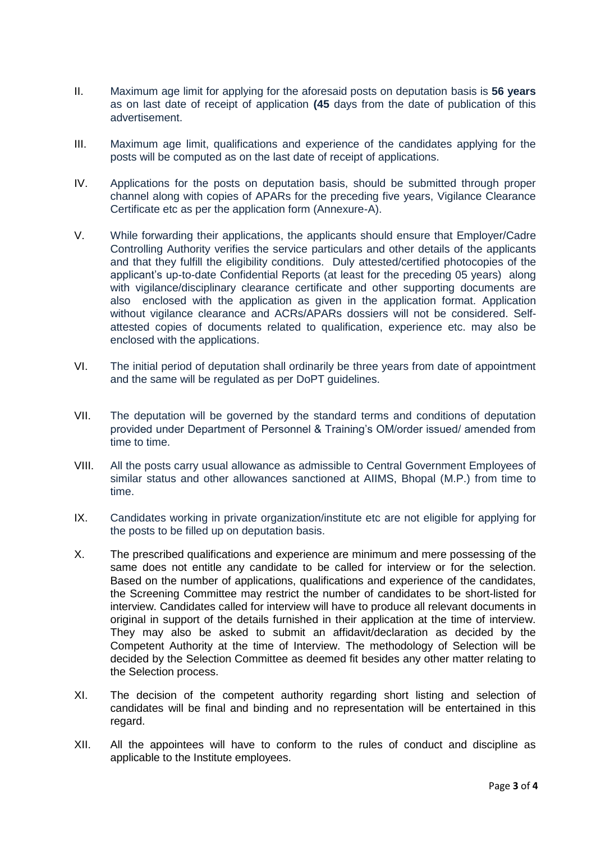- II. Maximum age limit for applying for the aforesaid posts on deputation basis is **56 years** as on last date of receipt of application **(45** days from the date of publication of this advertisement.
- III. Maximum age limit, qualifications and experience of the candidates applying for the posts will be computed as on the last date of receipt of applications.
- IV. Applications for the posts on deputation basis, should be submitted through proper channel along with copies of APARs for the preceding five years, Vigilance Clearance Certificate etc as per the application form (Annexure-A).
- V. While forwarding their applications, the applicants should ensure that Employer/Cadre Controlling Authority verifies the service particulars and other details of the applicants and that they fulfill the eligibility conditions. Duly attested/certified photocopies of the applicant's up-to-date Confidential Reports (at least for the preceding 05 years) along with vigilance/disciplinary clearance certificate and other supporting documents are also enclosed with the application as given in the application format. Application without vigilance clearance and ACRs/APARs dossiers will not be considered. Selfattested copies of documents related to qualification, experience etc. may also be enclosed with the applications.
- VI. The initial period of deputation shall ordinarily be three years from date of appointment and the same will be regulated as per DoPT guidelines.
- VII. The deputation will be governed by the standard terms and conditions of deputation provided under Department of Personnel & Training's OM/order issued/ amended from time to time.
- VIII. All the posts carry usual allowance as admissible to Central Government Employees of similar status and other allowances sanctioned at AIIMS, Bhopal (M.P.) from time to time.
- IX. Candidates working in private organization/institute etc are not eligible for applying for the posts to be filled up on deputation basis.
- X. The prescribed qualifications and experience are minimum and mere possessing of the same does not entitle any candidate to be called for interview or for the selection. Based on the number of applications, qualifications and experience of the candidates, the Screening Committee may restrict the number of candidates to be short-listed for interview. Candidates called for interview will have to produce all relevant documents in original in support of the details furnished in their application at the time of interview. They may also be asked to submit an affidavit/declaration as decided by the Competent Authority at the time of Interview. The methodology of Selection will be decided by the Selection Committee as deemed fit besides any other matter relating to the Selection process.
- XI. The decision of the competent authority regarding short listing and selection of candidates will be final and binding and no representation will be entertained in this regard.
- XII. All the appointees will have to conform to the rules of conduct and discipline as applicable to the Institute employees.